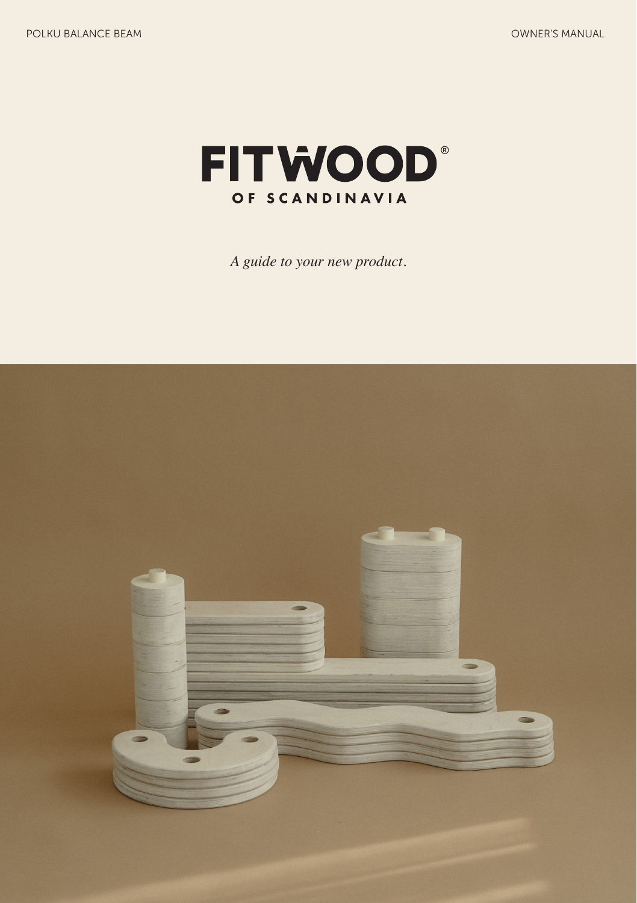

*A guide to your new product.*

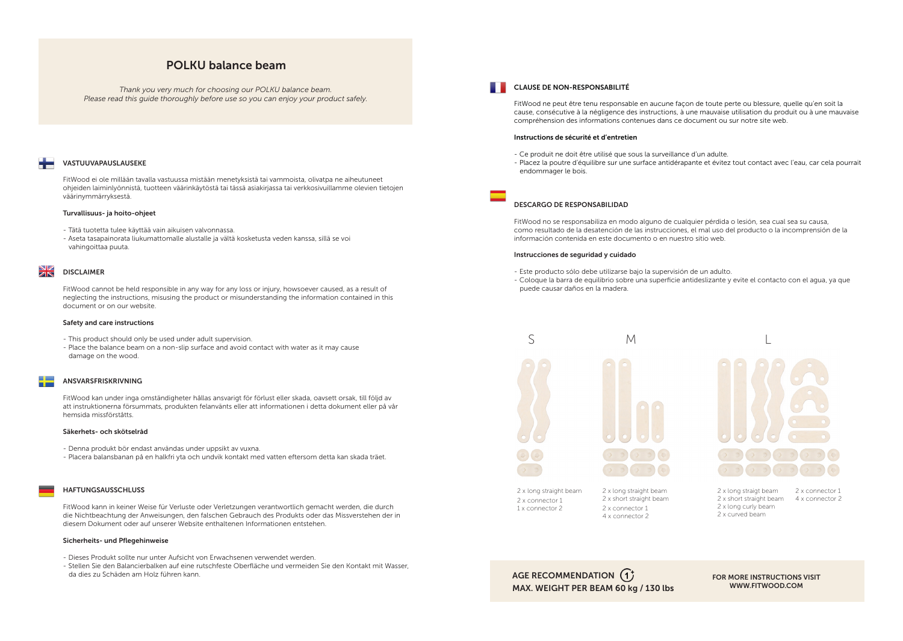## POLKU balance beam

*Thank you very much for choosing our POLKU balance beam. Please read this guide thoroughly before use so you can enjoy your product safely.*

### VASTUUVAPAUSLAUSEKE

FitWood ei ole millään tavalla vastuussa mistään menetyksistä tai vammoista, olivatpa ne aiheutuneet ohjeiden laiminlyönnistä, tuotteen väärinkäytöstä tai tässä asiakirjassa tai verkkosivuillamme olevien tietojen väärinymmärryksestä.

#### Turvallisuus- ja hoito-ohjeet

- Tätä tuotetta tulee käyttää vain aikuisen valvonnassa.
- Aseta tasapainorata liukumattomalle alustalle ja vältä kosketusta veden kanssa, sillä se voi vahingoittaa puuta.

#### $\frac{\Delta V}{\Delta N}$ DISCLAIMER

FitWood cannot be held responsible in any way for any loss or injury, howsoever caused, as a result of neglecting the instructions, misusing the product or misunderstanding the information contained in this document or on our website.

#### Safety and care instructions

- This product should only be used under adult supervision.
- Place the balance beam on a non-slip surface and avoid contact with water as it may cause damage on the wood.

#### ANSVARSFRISKRIVNING

÷

FitWood kan under inga omständigheter hållas ansvarigt för förlust eller skada, oavsett orsak, till följd av att instruktionerna försummats, produkten felanvänts eller att informationen i detta dokument eller på vår hemsida missförståtts.

#### Säkerhets- och skötselråd

- Denna produkt bör endast användas under uppsikt av vuxna.
- Placera balansbanan på en halkfri yta och undvik kontakt med vatten eftersom detta kan skada träet.

#### HAFTUNGSAUSSCHLUSS

FitWood kann in keiner Weise für Verluste oder Verletzungen verantwortlich gemacht werden, die durch die Nichtbeachtung der Anweisungen, den falschen Gebrauch des Produkts oder das Missverstehen der in diesem Dokument oder auf unserer Website enthaltenen Informationen entstehen.

#### Sicherheits- und Pflegehinweise

- Dieses Produkt sollte nur unter Aufsicht von Erwachsenen verwendet werden.
- Stellen Sie den Balancierbalken auf eine rutschfeste Oberfläche und vermeiden Sie den Kontakt mit Wasser, da dies zu Schäden am Holz führen kann.

#### CLAUSE DE NON-RESPONSABILITÉ

FitWood ne peut être tenu responsable en aucune façon de toute perte ou blessure, quelle qu'en soit la cause, consécutive à la négligence des instructions, à une mauvaise utilisation du produit ou à une mauvaise compréhension des informations contenues dans ce document ou sur notre site web.

#### Instructions de sécurité et d'entretien

- Ce produit ne doit être utilisé que sous la surveillance d'un adulte.
- Placez la poutre d'équilibre sur une surface antidérapante et évitez tout contact avec l'eau, car cela pourrait endommager le bois.

#### DESCARGO DE RESPONSABILIDAD

FitWood no se responsabiliza en modo alguno de cualquier pérdida o lesión, sea cual sea su causa, como resultado de la desatención de las instrucciones, el mal uso del producto o la incomprensión de la información contenida en este documento o en nuestro sitio web.

#### Instrucciones de seguridad y cuidado

- Este producto sólo debe utilizarse bajo la supervisión de un adulto.
- Coloque la barra de equilibrio sobre una superficie antideslizante y evite el contacto con el agua, ya que puede causar daños en la madera.





2 x long straight beam 2 x connector 1 1 x connector 2

2 x long straight beam 2 x short straight beam 2 x connector 1 4 x connector 2

2 x long straigt beam 2 x short straight beam 4 x connector 22 x long curly beam 2 x curved beam 2 x connector 1

# AGE RECOMMENDATION (1)

MAX. WEIGHT PER BEAM 60 kg / 130 lbs

FOR MORE INSTRUCTIONS VISIT WWW.FITWOOD.COM